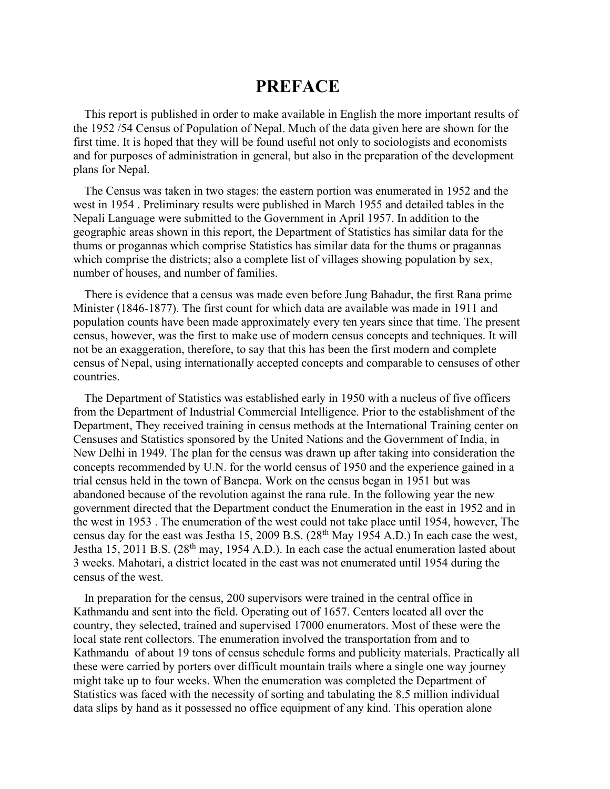# PREFACE

This report is published in order to make available in English the more important results of the 1952 /54 Census of Population of Nepal. Much of the data given here are shown for the first time. It is hoped that they will be found useful not only to sociologists and economists and for purposes of administration in general, but also in the preparation of the development plans for Nepal.

The Census was taken in two stages: the eastern portion was enumerated in 1952 and the west in 1954 . Preliminary results were published in March 1955 and detailed tables in the Nepali Language were submitted to the Government in April 1957. In addition to the geographic areas shown in this report, the Department of Statistics has similar data for the thums or progannas which comprise Statistics has similar data for the thums or pragannas which comprise the districts; also a complete list of villages showing population by sex, number of houses, and number of families.

There is evidence that a census was made even before Jung Bahadur, the first Rana prime Minister (1846-1877). The first count for which data are available was made in 1911 and population counts have been made approximately every ten years since that time. The present census, however, was the first to make use of modern census concepts and techniques. It will not be an exaggeration, therefore, to say that this has been the first modern and complete census of Nepal, using internationally accepted concepts and comparable to censuses of other countries.

The Department of Statistics was established early in 1950 with a nucleus of five officers from the Department of Industrial Commercial Intelligence. Prior to the establishment of the Department, They received training in census methods at the International Training center on Censuses and Statistics sponsored by the United Nations and the Government of India, in New Delhi in 1949. The plan for the census was drawn up after taking into consideration the concepts recommended by U.N. for the world census of 1950 and the experience gained in a trial census held in the town of Banepa. Work on the census began in 1951 but was abandoned because of the revolution against the rana rule. In the following year the new government directed that the Department conduct the Enumeration in the east in 1952 and in the west in 1953 . The enumeration of the west could not take place until 1954, however, The census day for the east was Jestha 15, 2009 B.S.  $(28<sup>th</sup>$  May 1954 A.D.) In each case the west, Jestha 15, 2011 B.S.  $(28<sup>th</sup>$  may, 1954 A.D.). In each case the actual enumeration lasted about 3 weeks. Mahotari, a district located in the east was not enumerated until 1954 during the census of the west.

In preparation for the census, 200 supervisors were trained in the central office in Kathmandu and sent into the field. Operating out of 1657. Centers located all over the country, they selected, trained and supervised 17000 enumerators. Most of these were the local state rent collectors. The enumeration involved the transportation from and to Kathmandu of about 19 tons of census schedule forms and publicity materials. Practically all these were carried by porters over difficult mountain trails where a single one way journey might take up to four weeks. When the enumeration was completed the Department of Statistics was faced with the necessity of sorting and tabulating the 8.5 million individual data slips by hand as it possessed no office equipment of any kind. This operation alone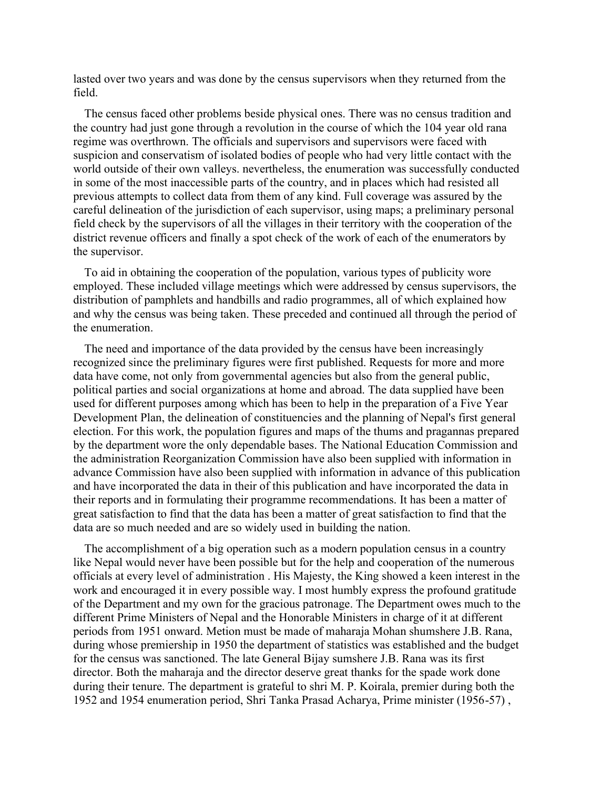lasted over two years and was done by the census supervisors when they returned from the field.

The census faced other problems beside physical ones. There was no census tradition and the country had just gone through a revolution in the course of which the 104 year old rana regime was overthrown. The officials and supervisors and supervisors were faced with suspicion and conservatism of isolated bodies of people who had very little contact with the world outside of their own valleys. nevertheless, the enumeration was successfully conducted in some of the most inaccessible parts of the country, and in places which had resisted all previous attempts to collect data from them of any kind. Full coverage was assured by the careful delineation of the jurisdiction of each supervisor, using maps; a preliminary personal field check by the supervisors of all the villages in their territory with the cooperation of the district revenue officers and finally a spot check of the work of each of the enumerators by the supervisor.

To aid in obtaining the cooperation of the population, various types of publicity wore employed. These included village meetings which were addressed by census supervisors, the distribution of pamphlets and handbills and radio programmes, all of which explained how and why the census was being taken. These preceded and continued all through the period of the enumeration.

The need and importance of the data provided by the census have been increasingly recognized since the preliminary figures were first published. Requests for more and more data have come, not only from governmental agencies but also from the general public, political parties and social organizations at home and abroad. The data supplied have been used for different purposes among which has been to help in the preparation of a Five Year Development Plan, the delineation of constituencies and the planning of Nepal's first general election. For this work, the population figures and maps of the thums and pragannas prepared by the department wore the only dependable bases. The National Education Commission and the administration Reorganization Commission have also been supplied with information in advance Commission have also been supplied with information in advance of this publication and have incorporated the data in their of this publication and have incorporated the data in their reports and in formulating their programme recommendations. It has been a matter of great satisfaction to find that the data has been a matter of great satisfaction to find that the data are so much needed and are so widely used in building the nation.

The accomplishment of a big operation such as a modern population census in a country like Nepal would never have been possible but for the help and cooperation of the numerous officials at every level of administration . His Majesty, the King showed a keen interest in the work and encouraged it in every possible way. I most humbly express the profound gratitude of the Department and my own for the gracious patronage. The Department owes much to the different Prime Ministers of Nepal and the Honorable Ministers in charge of it at different periods from 1951 onward. Metion must be made of maharaja Mohan shumshere J.B. Rana, during whose premiership in 1950 the department of statistics was established and the budget for the census was sanctioned. The late General Bijay sumshere J.B. Rana was its first director. Both the maharaja and the director deserve great thanks for the spade work done during their tenure. The department is grateful to shri M. P. Koirala, premier during both the 1952 and 1954 enumeration period, Shri Tanka Prasad Acharya, Prime minister (1956-57) ,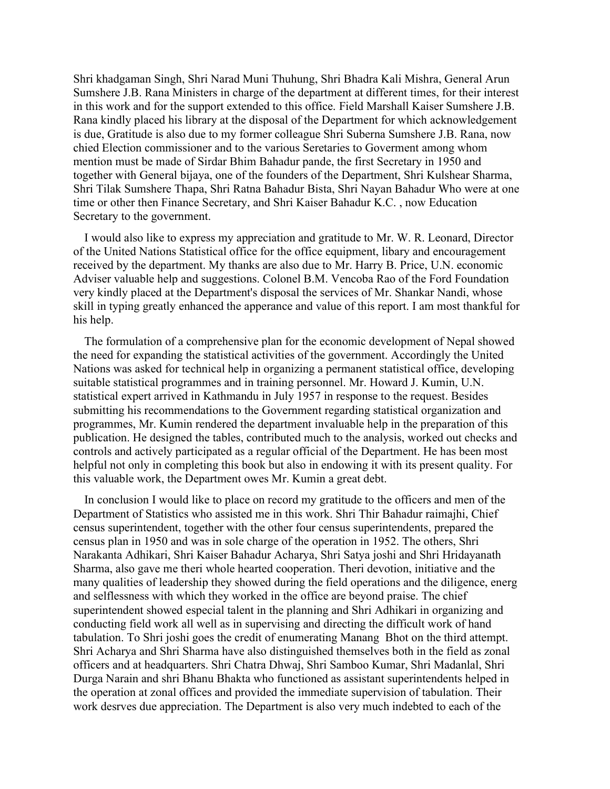Shri khadgaman Singh, Shri Narad Muni Thuhung, Shri Bhadra Kali Mishra, General Arun Sumshere J.B. Rana Ministers in charge of the department at different times, for their interest in this work and for the support extended to this office. Field Marshall Kaiser Sumshere J.B. Rana kindly placed his library at the disposal of the Department for which acknowledgement is due, Gratitude is also due to my former colleague Shri Suberna Sumshere J.B. Rana, now chied Election commissioner and to the various Seretaries to Goverment among whom mention must be made of Sirdar Bhim Bahadur pande, the first Secretary in 1950 and together with General bijaya, one of the founders of the Department, Shri Kulshear Sharma, Shri Tilak Sumshere Thapa, Shri Ratna Bahadur Bista, Shri Nayan Bahadur Who were at one time or other then Finance Secretary, and Shri Kaiser Bahadur K.C. , now Education Secretary to the government.

I would also like to express my appreciation and gratitude to Mr. W. R. Leonard, Director of the United Nations Statistical office for the office equipment, libary and encouragement received by the department. My thanks are also due to Mr. Harry B. Price, U.N. economic Adviser valuable help and suggestions. Colonel B.M. Vencoba Rao of the Ford Foundation very kindly placed at the Department's disposal the services of Mr. Shankar Nandi, whose skill in typing greatly enhanced the apperance and value of this report. I am most thankful for his help.

The formulation of a comprehensive plan for the economic development of Nepal showed the need for expanding the statistical activities of the government. Accordingly the United Nations was asked for technical help in organizing a permanent statistical office, developing suitable statistical programmes and in training personnel. Mr. Howard J. Kumin, U.N. statistical expert arrived in Kathmandu in July 1957 in response to the request. Besides submitting his recommendations to the Government regarding statistical organization and programmes, Mr. Kumin rendered the department invaluable help in the preparation of this publication. He designed the tables, contributed much to the analysis, worked out checks and controls and actively participated as a regular official of the Department. He has been most helpful not only in completing this book but also in endowing it with its present quality. For this valuable work, the Department owes Mr. Kumin a great debt.

In conclusion I would like to place on record my gratitude to the officers and men of the Department of Statistics who assisted me in this work. Shri Thir Bahadur raimajhi, Chief census superintendent, together with the other four census superintendents, prepared the census plan in 1950 and was in sole charge of the operation in 1952. The others, Shri Narakanta Adhikari, Shri Kaiser Bahadur Acharya, Shri Satya joshi and Shri Hridayanath Sharma, also gave me theri whole hearted cooperation. Theri devotion, initiative and the many qualities of leadership they showed during the field operations and the diligence, energ and selflessness with which they worked in the office are beyond praise. The chief superintendent showed especial talent in the planning and Shri Adhikari in organizing and conducting field work all well as in supervising and directing the difficult work of hand tabulation. To Shri joshi goes the credit of enumerating Manang Bhot on the third attempt. Shri Acharya and Shri Sharma have also distinguished themselves both in the field as zonal officers and at headquarters. Shri Chatra Dhwaj, Shri Samboo Kumar, Shri Madanlal, Shri Durga Narain and shri Bhanu Bhakta who functioned as assistant superintendents helped in the operation at zonal offices and provided the immediate supervision of tabulation. Their work desrves due appreciation. The Department is also very much indebted to each of the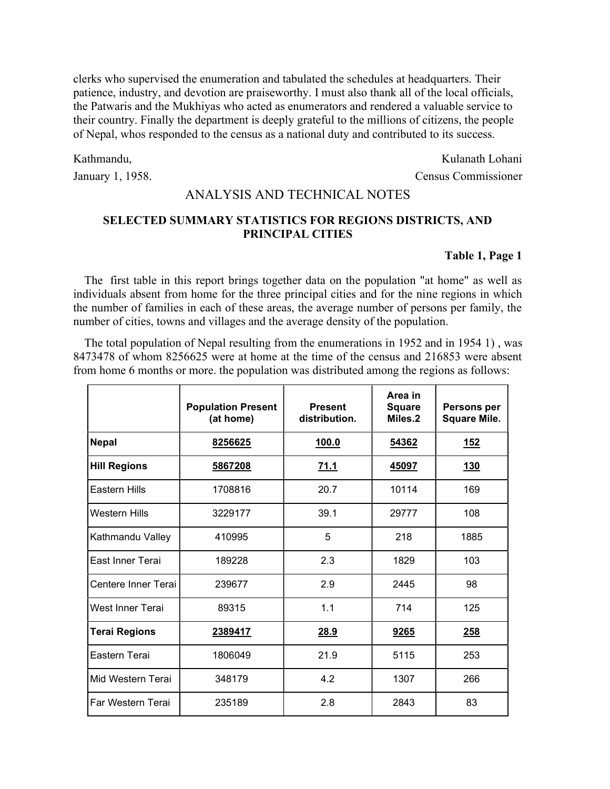clerks who supervised the enumeration and tabulated the schedules at headquarters. Their patience, industry, and devotion are praiseworthy. I must also thank all of the local officials, the Patwaris and the Mukhiyas who acted as enumerators and rendered a valuable service to their country. Finally the department is deeply grateful to the millions of citizens, the people of Nepal, whos responded to the census as a national duty and contributed to its success.

#### Kathmandu,

January 1, 1958.

Kulanath Lohani Census Commissioner

### ANALYSIS AND TECHNICAL NOTES

# SELECTED SUMMARY STATISTICS FOR REGIONS DISTRICTS, AND PRINCIPAL CITIES

#### Table 1, Page 1

The first table in this report brings together data on the population "at home" as well as individuals absent from home for the three principal cities and for the nine regions in which the number of families in each of these areas, the average number of persons per family, the number of cities, towns and villages and the average density of the population.

The total population of Nepal resulting from the enumerations in 1952 and in 1954 1) , was 8473478 of whom 8256625 were at home at the time of the census and 216853 were absent from home 6 months or more. the population was distributed among the regions as follows:

|                      | <b>Population Present</b><br>(at home) | <b>Present</b><br>distribution. | Area in<br><b>Square</b><br>Miles.2 | Persons per<br><b>Square Mile.</b> |
|----------------------|----------------------------------------|---------------------------------|-------------------------------------|------------------------------------|
| <b>Nepal</b>         | 8256625                                | 100.0                           | 54362                               | <u>152</u>                         |
| <b>Hill Regions</b>  | 5867208                                | 71.1                            | 45097                               | <u>130</u>                         |
| <b>Eastern Hills</b> | 1708816                                | 20.7                            | 10114                               | 169                                |
| <b>Western Hills</b> | 3229177                                | 39.1                            | 29777                               | 108                                |
| Kathmandu Valley     | 410995                                 | 5                               | 218                                 | 1885                               |
| East Inner Terai     | 189228                                 | 2.3                             | 1829                                | 103                                |
| Centere Inner Terai  | 239677                                 | 2.9                             | 2445                                | 98                                 |
| West Inner Terai     | 89315                                  | 1.1                             | 714                                 | 125                                |
| <b>Terai Regions</b> | 2389417                                | 28.9                            | 9265                                | <b>258</b>                         |
| Eastern Terai        | 1806049                                | 21.9                            | 5115                                | 253                                |
| Mid Western Terai    | 348179                                 | 4.2                             | 1307                                | 266                                |
| Far Western Terai    | 235189                                 | 2.8                             | 2843                                | 83                                 |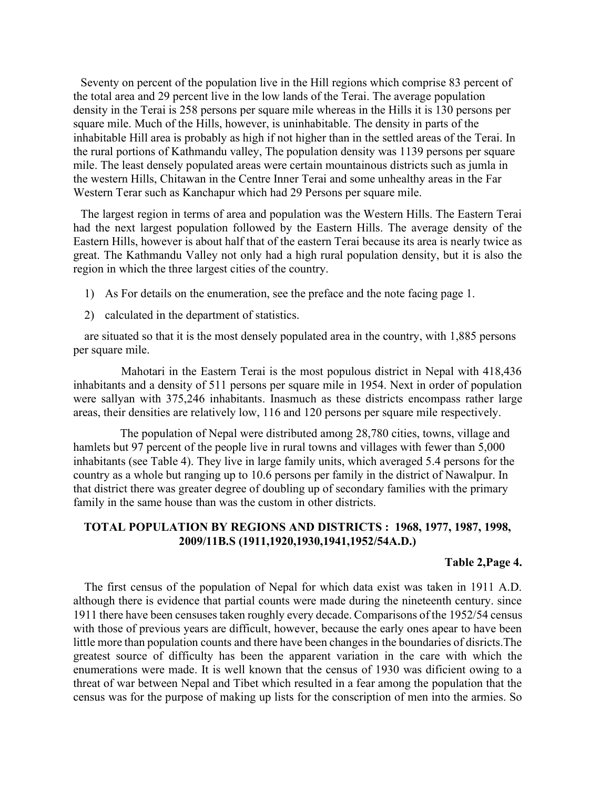Seventy on percent of the population live in the Hill regions which comprise 83 percent of the total area and 29 percent live in the low lands of the Terai. The average population density in the Terai is 258 persons per square mile whereas in the Hills it is 130 persons per square mile. Much of the Hills, however, is uninhabitable. The density in parts of the inhabitable Hill area is probably as high if not higher than in the settled areas of the Terai. In the rural portions of Kathmandu valley, The population density was 1139 persons per square mile. The least densely populated areas were certain mountainous districts such as jumla in the western Hills, Chitawan in the Centre Inner Terai and some unhealthy areas in the Far Western Terar such as Kanchapur which had 29 Persons per square mile.

The largest region in terms of area and population was the Western Hills. The Eastern Terai had the next largest population followed by the Eastern Hills. The average density of the Eastern Hills, however is about half that of the eastern Terai because its area is nearly twice as great. The Kathmandu Valley not only had a high rural population density, but it is also the region in which the three largest cities of the country.

- 1) As For details on the enumeration, see the preface and the note facing page 1.
- 2) calculated in the department of statistics.

are situated so that it is the most densely populated area in the country, with 1,885 persons per square mile.

 Mahotari in the Eastern Terai is the most populous district in Nepal with 418,436 inhabitants and a density of 511 persons per square mile in 1954. Next in order of population were sallyan with 375,246 inhabitants. Inasmuch as these districts encompass rather large areas, their densities are relatively low, 116 and 120 persons per square mile respectively.

 The population of Nepal were distributed among 28,780 cities, towns, village and hamlets but 97 percent of the people live in rural towns and villages with fewer than 5,000 inhabitants (see Table 4). They live in large family units, which averaged 5.4 persons for the country as a whole but ranging up to 10.6 persons per family in the district of Nawalpur. In that district there was greater degree of doubling up of secondary families with the primary family in the same house than was the custom in other districts.

### TOTAL POPULATION BY REGIONS AND DISTRICTS : 1968, 1977, 1987, 1998, 2009/11B.S (1911,1920,1930,1941,1952/54A.D.)

#### Table 2,Page 4.

The first census of the population of Nepal for which data exist was taken in 1911 A.D. although there is evidence that partial counts were made during the nineteenth century. since 1911 there have been censuses taken roughly every decade. Comparisons of the 1952/54 census with those of previous years are difficult, however, because the early ones apear to have been little more than population counts and there have been changes in the boundaries of disricts.The greatest source of difficulty has been the apparent variation in the care with which the enumerations were made. It is well known that the census of 1930 was dificient owing to a threat of war between Nepal and Tibet which resulted in a fear among the population that the census was for the purpose of making up lists for the conscription of men into the armies. So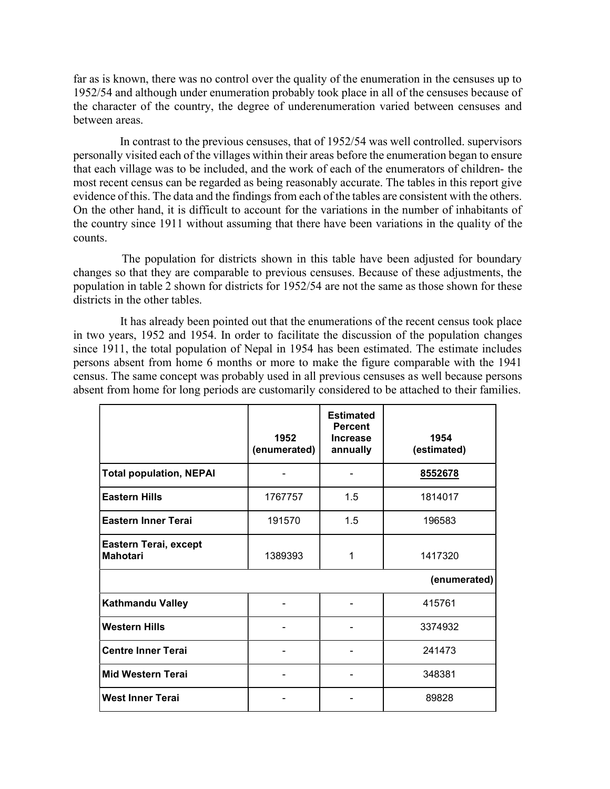far as is known, there was no control over the quality of the enumeration in the censuses up to 1952/54 and although under enumeration probably took place in all of the censuses because of the character of the country, the degree of underenumeration varied between censuses and between areas.

 In contrast to the previous censuses, that of 1952/54 was well controlled. supervisors personally visited each of the villages within their areas before the enumeration began to ensure that each village was to be included, and the work of each of the enumerators of children- the most recent census can be regarded as being reasonably accurate. The tables in this report give evidence of this. The data and the findings from each of the tables are consistent with the others. On the other hand, it is difficult to account for the variations in the number of inhabitants of the country since 1911 without assuming that there have been variations in the quality of the counts.

 The population for districts shown in this table have been adjusted for boundary changes so that they are comparable to previous censuses. Because of these adjustments, the population in table 2 shown for districts for 1952/54 are not the same as those shown for these districts in the other tables.

 It has already been pointed out that the enumerations of the recent census took place in two years, 1952 and 1954. In order to facilitate the discussion of the population changes since 1911, the total population of Nepal in 1954 has been estimated. The estimate includes persons absent from home 6 months or more to make the figure comparable with the 1941 census. The same concept was probably used in all previous censuses as well because persons absent from home for long periods are customarily considered to be attached to their families.

|                                          | 1952<br>(enumerated) | <b>Estimated</b><br><b>Percent</b><br><b>Increase</b><br>annually | 1954<br>(estimated) |
|------------------------------------------|----------------------|-------------------------------------------------------------------|---------------------|
| <b>Total population, NEPAI</b>           |                      |                                                                   | 8552678             |
| <b>Eastern Hills</b>                     | 1767757              | 1.5                                                               | 1814017             |
| <b>Eastern Inner Terai</b>               | 191570               | 1.5                                                               | 196583              |
| Eastern Terai, except<br><b>Mahotari</b> | 1389393              | 1                                                                 | 1417320             |
|                                          |                      |                                                                   | (enumerated)        |
| <b>Kathmandu Valley</b>                  |                      |                                                                   | 415761              |
| <b>Western Hills</b>                     |                      |                                                                   | 3374932             |
| <b>Centre Inner Terai</b>                |                      |                                                                   | 241473              |
| <b>Mid Western Terai</b>                 |                      |                                                                   | 348381              |
| <b>West Inner Terai</b>                  |                      |                                                                   | 89828               |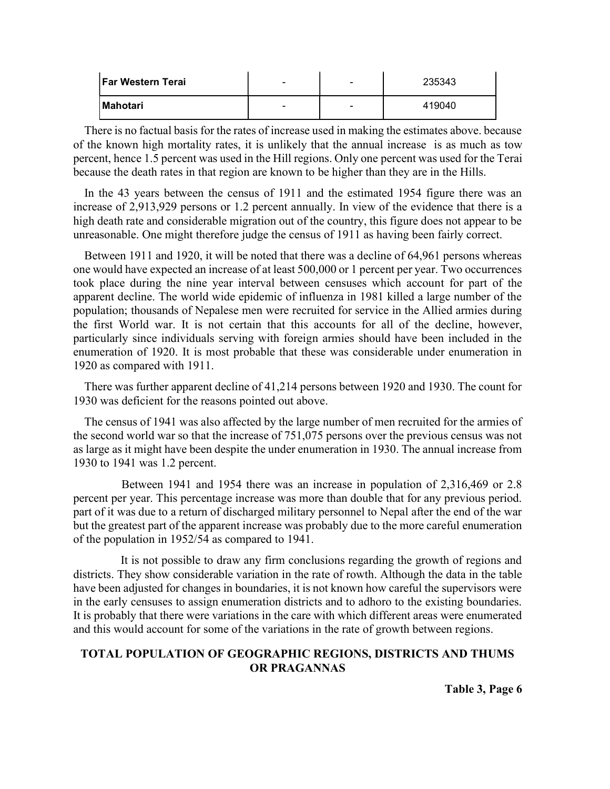| <b>Far Western Terai</b> | $\overline{\phantom{0}}$ | - | 235343 |
|--------------------------|--------------------------|---|--------|
| <b>Mahotari</b>          | $\overline{\phantom{0}}$ | - | 419040 |

There is no factual basis for the rates of increase used in making the estimates above. because of the known high mortality rates, it is unlikely that the annual increase is as much as tow percent, hence 1.5 percent was used in the Hill regions. Only one percent was used for the Terai because the death rates in that region are known to be higher than they are in the Hills.

In the 43 years between the census of 1911 and the estimated 1954 figure there was an increase of 2,913,929 persons or 1.2 percent annually. In view of the evidence that there is a high death rate and considerable migration out of the country, this figure does not appear to be unreasonable. One might therefore judge the census of 1911 as having been fairly correct.

Between 1911 and 1920, it will be noted that there was a decline of 64,961 persons whereas one would have expected an increase of at least 500,000 or 1 percent per year. Two occurrences took place during the nine year interval between censuses which account for part of the apparent decline. The world wide epidemic of influenza in 1981 killed a large number of the population; thousands of Nepalese men were recruited for service in the Allied armies during the first World war. It is not certain that this accounts for all of the decline, however, particularly since individuals serving with foreign armies should have been included in the enumeration of 1920. It is most probable that these was considerable under enumeration in 1920 as compared with 1911.

There was further apparent decline of 41,214 persons between 1920 and 1930. The count for 1930 was deficient for the reasons pointed out above.

The census of 1941 was also affected by the large number of men recruited for the armies of the second world war so that the increase of 751,075 persons over the previous census was not as large as it might have been despite the under enumeration in 1930. The annual increase from 1930 to 1941 was 1.2 percent.

 Between 1941 and 1954 there was an increase in population of 2,316,469 or 2.8 percent per year. This percentage increase was more than double that for any previous period. part of it was due to a return of discharged military personnel to Nepal after the end of the war but the greatest part of the apparent increase was probably due to the more careful enumeration of the population in 1952/54 as compared to 1941.

 It is not possible to draw any firm conclusions regarding the growth of regions and districts. They show considerable variation in the rate of rowth. Although the data in the table have been adjusted for changes in boundaries, it is not known how careful the supervisors were in the early censuses to assign enumeration districts and to adhoro to the existing boundaries. It is probably that there were variations in the care with which different areas were enumerated and this would account for some of the variations in the rate of growth between regions.

## TOTAL POPULATION OF GEOGRAPHIC REGIONS, DISTRICTS AND THUMS OR PRAGANNAS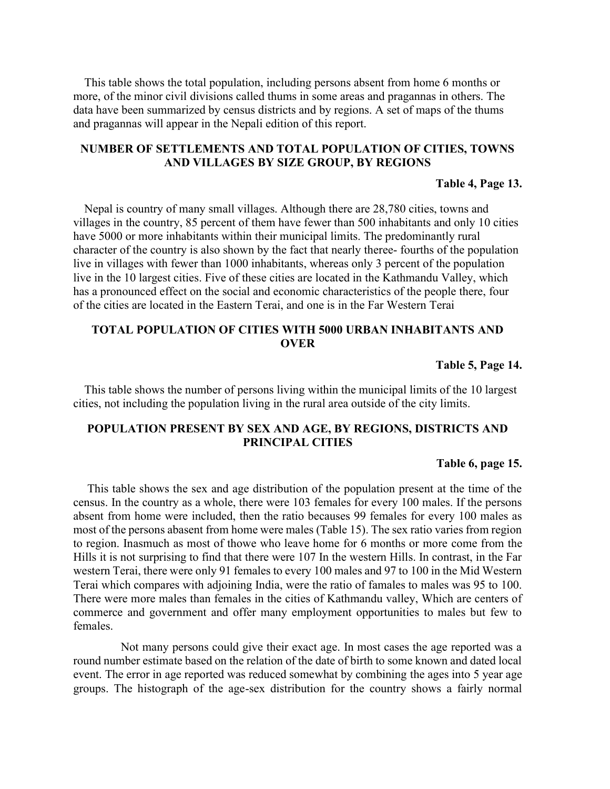This table shows the total population, including persons absent from home 6 months or more, of the minor civil divisions called thums in some areas and pragannas in others. The data have been summarized by census districts and by regions. A set of maps of the thums and pragannas will appear in the Nepali edition of this report.

### NUMBER OF SETTLEMENTS AND TOTAL POPULATION OF CITIES, TOWNS AND VILLAGES BY SIZE GROUP, BY REGIONS

#### Table 4, Page 13.

Nepal is country of many small villages. Although there are 28,780 cities, towns and villages in the country, 85 percent of them have fewer than 500 inhabitants and only 10 cities have 5000 or more inhabitants within their municipal limits. The predominantly rural character of the country is also shown by the fact that nearly theree- fourths of the population live in villages with fewer than 1000 inhabitants, whereas only 3 percent of the population live in the 10 largest cities. Five of these cities are located in the Kathmandu Valley, which has a pronounced effect on the social and economic characteristics of the people there, four of the cities are located in the Eastern Terai, and one is in the Far Western Terai

## TOTAL POPULATION OF CITIES WITH 5000 URBAN INHABITANTS AND **OVER**

#### Table 5, Page 14.

This table shows the number of persons living within the municipal limits of the 10 largest cities, not including the population living in the rural area outside of the city limits.

### POPULATION PRESENT BY SEX AND AGE, BY REGIONS, DISTRICTS AND PRINCIPAL CITIES

#### Table 6, page 15.

This table shows the sex and age distribution of the population present at the time of the census. In the country as a whole, there were 103 females for every 100 males. If the persons absent from home were included, then the ratio becauses 99 females for every 100 males as most of the persons abasent from home were males (Table 15). The sex ratio varies from region to region. Inasmuch as most of thowe who leave home for 6 months or more come from the Hills it is not surprising to find that there were 107 In the western Hills. In contrast, in the Far western Terai, there were only 91 females to every 100 males and 97 to 100 in the Mid Western Terai which compares with adjoining India, were the ratio of famales to males was 95 to 100. There were more males than females in the cities of Kathmandu valley, Which are centers of commerce and government and offer many employment opportunities to males but few to females.

 Not many persons could give their exact age. In most cases the age reported was a round number estimate based on the relation of the date of birth to some known and dated local event. The error in age reported was reduced somewhat by combining the ages into 5 year age groups. The histograph of the age-sex distribution for the country shows a fairly normal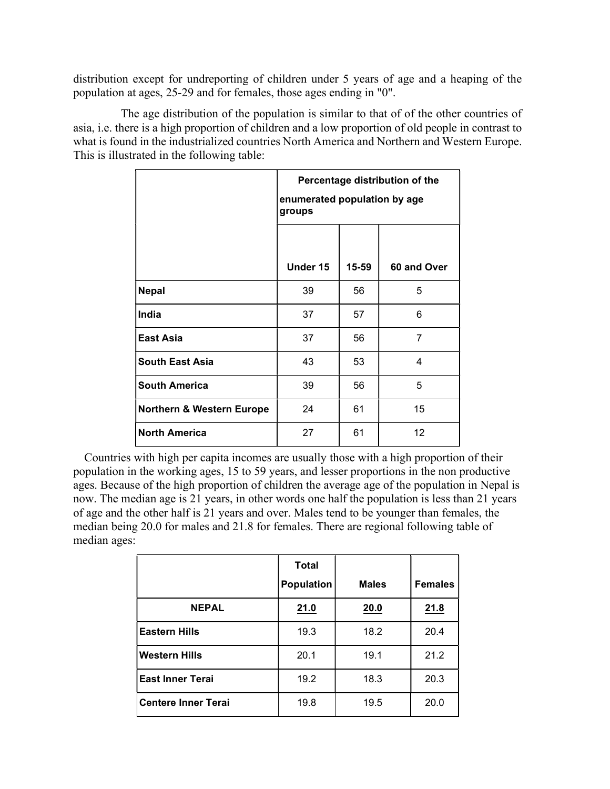distribution except for undreporting of children under 5 years of age and a heaping of the population at ages, 25-29 and for females, those ages ending in "0".

 The age distribution of the population is similar to that of of the other countries of asia, i.e. there is a high proportion of children and a low proportion of old people in contrast to what is found in the industrialized countries North America and Northern and Western Europe. This is illustrated in the following table:

|                                      | Percentage distribution of the<br>enumerated population by age<br>groups |           |             |  |  |
|--------------------------------------|--------------------------------------------------------------------------|-----------|-------------|--|--|
|                                      | Under 15                                                                 | $15 - 59$ | 60 and Over |  |  |
| <b>Nepal</b>                         | 39                                                                       | 56        | 5           |  |  |
| India                                | 37                                                                       | 57        | 6           |  |  |
| East Asia                            | 37                                                                       | 56        | 7           |  |  |
| <b>South East Asia</b>               | 43                                                                       | 53        | 4           |  |  |
| <b>South America</b>                 | 39                                                                       | 56        | 5           |  |  |
| <b>Northern &amp; Western Europe</b> | 61<br>24<br>15                                                           |           |             |  |  |
| <b>North America</b>                 | 27                                                                       | 61        | 12          |  |  |

Countries with high per capita incomes are usually those with a high proportion of their population in the working ages, 15 to 59 years, and lesser proportions in the non productive ages. Because of the high proportion of children the average age of the population in Nepal is now. The median age is 21 years, in other words one half the population is less than 21 years of age and the other half is 21 years and over. Males tend to be younger than females, the median being 20.0 for males and 21.8 for females. There are regional following table of median ages:

|                            | <b>Total</b><br><b>Population</b> | <b>Males</b> | <b>Females</b> |
|----------------------------|-----------------------------------|--------------|----------------|
| <b>NEPAL</b>               | 21.0                              | 20.0         | 21.8           |
| <b>Eastern Hills</b>       | 19.3                              | 18.2         | 20.4           |
| <b>Western Hills</b>       | 20.1                              | 19.1         | 21.2           |
| <b>East Inner Terai</b>    | 19.2                              | 18.3         | 20.3           |
| <b>Centere Inner Terai</b> | 19.8                              | 19.5         | 20.0           |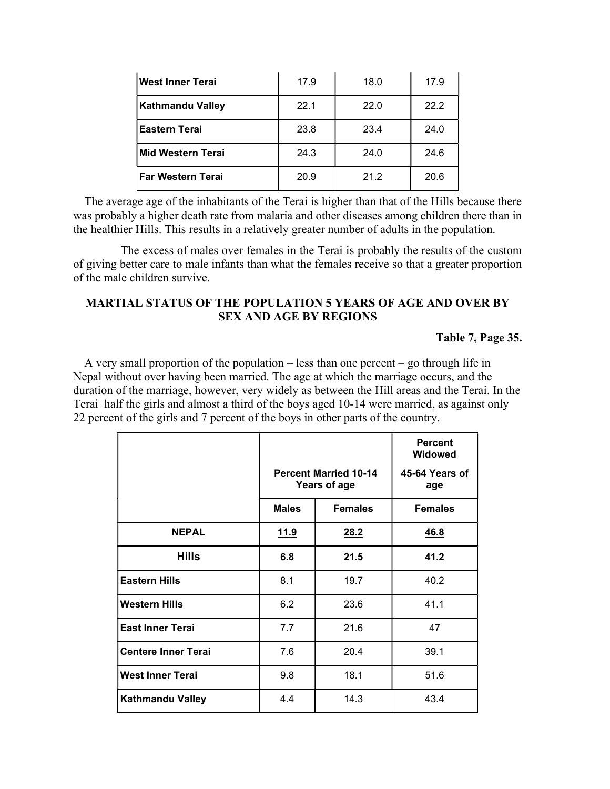| West Inner Terai         | 17.9 | 18.0 | 17.9 |
|--------------------------|------|------|------|
| <b>Kathmandu Valley</b>  | 22.1 | 22.0 | 22.2 |
| <b>Eastern Terai</b>     | 23.8 | 23.4 | 24.0 |
| <b>Mid Western Terai</b> | 24.3 | 24.0 | 24.6 |
| l Far Western Terai      | 20.9 | 21.2 | 20.6 |

The average age of the inhabitants of the Terai is higher than that of the Hills because there was probably a higher death rate from malaria and other diseases among children there than in the healthier Hills. This results in a relatively greater number of adults in the population.

 The excess of males over females in the Terai is probably the results of the custom of giving better care to male infants than what the females receive so that a greater proportion of the male children survive.

# MARTIAL STATUS OF THE POPULATION 5 YEARS OF AGE AND OVER BY SEX AND AGE BY REGIONS

#### Table 7, Page 35.

A very small proportion of the population – less than one percent – go through life in Nepal without over having been married. The age at which the marriage occurs, and the duration of the marriage, however, very widely as between the Hill areas and the Terai. In the Terai half the girls and almost a third of the boys aged 10-14 were married, as against only 22 percent of the girls and 7 percent of the boys in other parts of the country.

|                            |              |                                              | <b>Percent</b><br><b>Widowed</b> |
|----------------------------|--------------|----------------------------------------------|----------------------------------|
|                            |              | <b>Percent Married 10-14</b><br>Years of age | 45-64 Years of<br>age            |
|                            | <b>Males</b> | <b>Females</b>                               | <b>Females</b>                   |
| <b>NEPAL</b>               | <u>11.9</u>  | 28.2                                         | <u>46.8</u>                      |
| <b>Hills</b>               | 6.8          | 21.5                                         | 41.2                             |
| <b>Eastern Hills</b>       | 8.1          | 19.7                                         | 40.2                             |
| <b>Western Hills</b>       | 6.2          | 23.6                                         | 41.1                             |
| <b>East Inner Terai</b>    | 7.7          | 21.6                                         | 47                               |
| <b>Centere Inner Terai</b> | 7.6          | 20.4                                         | 39.1                             |
| <b>West Inner Terai</b>    | 9.8          | 18.1                                         | 51.6                             |
| <b>Kathmandu Valley</b>    | 4.4          | 14.3                                         | 43.4                             |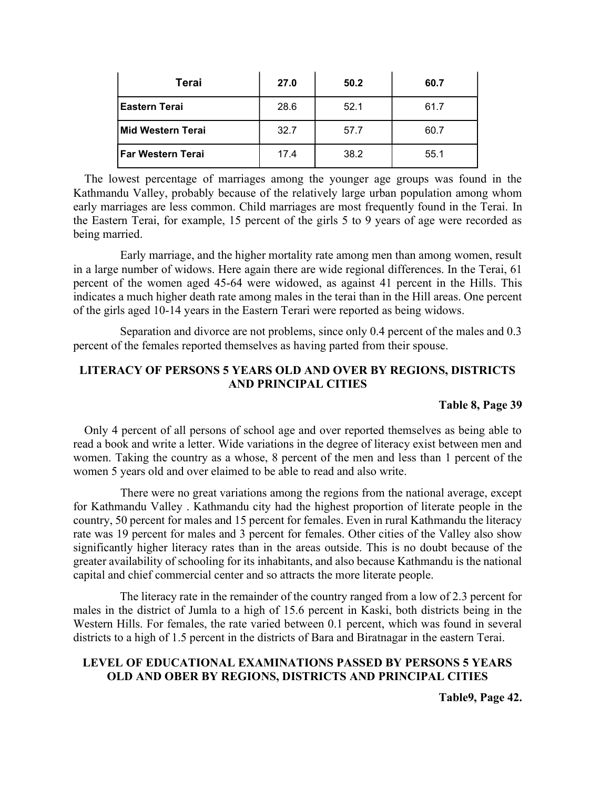| Terai                | 27.0 | 50.2 | 60.7 |
|----------------------|------|------|------|
| <b>Eastern Terai</b> | 28.6 | 52.1 | 61.7 |
| Mid Western Terai    | 32.7 | 57.7 | 60.7 |
| l Far Western Terai  | 17.4 | 38.2 | 55.1 |

The lowest percentage of marriages among the younger age groups was found in the Kathmandu Valley, probably because of the relatively large urban population among whom early marriages are less common. Child marriages are most frequently found in the Terai. In the Eastern Terai, for example, 15 percent of the girls 5 to 9 years of age were recorded as being married.

 Early marriage, and the higher mortality rate among men than among women, result in a large number of widows. Here again there are wide regional differences. In the Terai, 61 percent of the women aged 45-64 were widowed, as against 41 percent in the Hills. This indicates a much higher death rate among males in the terai than in the Hill areas. One percent of the girls aged 10-14 years in the Eastern Terari were reported as being widows.

 Separation and divorce are not problems, since only 0.4 percent of the males and 0.3 percent of the females reported themselves as having parted from their spouse.

## LITERACY OF PERSONS 5 YEARS OLD AND OVER BY REGIONS, DISTRICTS AND PRINCIPAL CITIES

### Table 8, Page 39

Only 4 percent of all persons of school age and over reported themselves as being able to read a book and write a letter. Wide variations in the degree of literacy exist between men and women. Taking the country as a whose, 8 percent of the men and less than 1 percent of the women 5 years old and over elaimed to be able to read and also write.

 There were no great variations among the regions from the national average, except for Kathmandu Valley . Kathmandu city had the highest proportion of literate people in the country, 50 percent for males and 15 percent for females. Even in rural Kathmandu the literacy rate was 19 percent for males and 3 percent for females. Other cities of the Valley also show significantly higher literacy rates than in the areas outside. This is no doubt because of the greater availability of schooling for its inhabitants, and also because Kathmandu is the national capital and chief commercial center and so attracts the more literate people.

 The literacy rate in the remainder of the country ranged from a low of 2.3 percent for males in the district of Jumla to a high of 15.6 percent in Kaski, both districts being in the Western Hills. For females, the rate varied between 0.1 percent, which was found in several districts to a high of 1.5 percent in the districts of Bara and Biratnagar in the eastern Terai.

# LEVEL OF EDUCATIONAL EXAMINATIONS PASSED BY PERSONS 5 YEARS OLD AND OBER BY REGIONS, DISTRICTS AND PRINCIPAL CITIES

Table9, Page 42.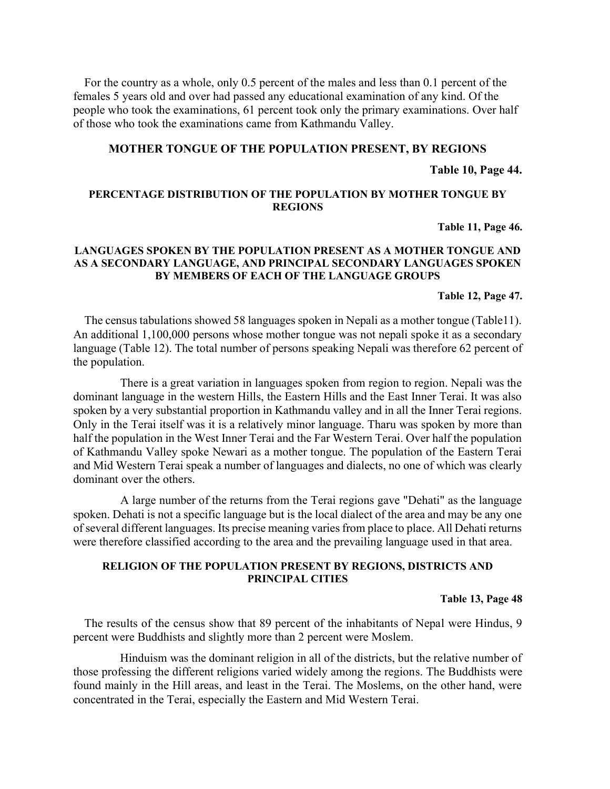For the country as a whole, only 0.5 percent of the males and less than 0.1 percent of the females 5 years old and over had passed any educational examination of any kind. Of the people who took the examinations, 61 percent took only the primary examinations. Over half of those who took the examinations came from Kathmandu Valley.

#### MOTHER TONGUE OF THE POPULATION PRESENT, BY REGIONS

#### Table 10, Page 44.

#### PERCENTAGE DISTRIBUTION OF THE POPULATION BY MOTHER TONGUE BY REGIONS

Table 11, Page 46.

#### LANGUAGES SPOKEN BY THE POPULATION PRESENT AS A MOTHER TONGUE AND AS A SECONDARY LANGUAGE, AND PRINCIPAL SECONDARY LANGUAGES SPOKEN BY MEMBERS OF EACH OF THE LANGUAGE GROUPS

#### Table 12, Page 47.

The census tabulations showed 58 languages spoken in Nepali as a mother tongue (Table11). An additional 1,100,000 persons whose mother tongue was not nepali spoke it as a secondary language (Table 12). The total number of persons speaking Nepali was therefore 62 percent of the population.

 There is a great variation in languages spoken from region to region. Nepali was the dominant language in the western Hills, the Eastern Hills and the East Inner Terai. It was also spoken by a very substantial proportion in Kathmandu valley and in all the Inner Terai regions. Only in the Terai itself was it is a relatively minor language. Tharu was spoken by more than half the population in the West Inner Terai and the Far Western Terai. Over half the population of Kathmandu Valley spoke Newari as a mother tongue. The population of the Eastern Terai and Mid Western Terai speak a number of languages and dialects, no one of which was clearly dominant over the others.

 A large number of the returns from the Terai regions gave "Dehati" as the language spoken. Dehati is not a specific language but is the local dialect of the area and may be any one of several different languages. Its precise meaning varies from place to place. All Dehati returns were therefore classified according to the area and the prevailing language used in that area.

#### RELIGION OF THE POPULATION PRESENT BY REGIONS, DISTRICTS AND PRINCIPAL CITIES

#### Table 13, Page 48

The results of the census show that 89 percent of the inhabitants of Nepal were Hindus, 9 percent were Buddhists and slightly more than 2 percent were Moslem.

 Hinduism was the dominant religion in all of the districts, but the relative number of those professing the different religions varied widely among the regions. The Buddhists were found mainly in the Hill areas, and least in the Terai. The Moslems, on the other hand, were concentrated in the Terai, especially the Eastern and Mid Western Terai.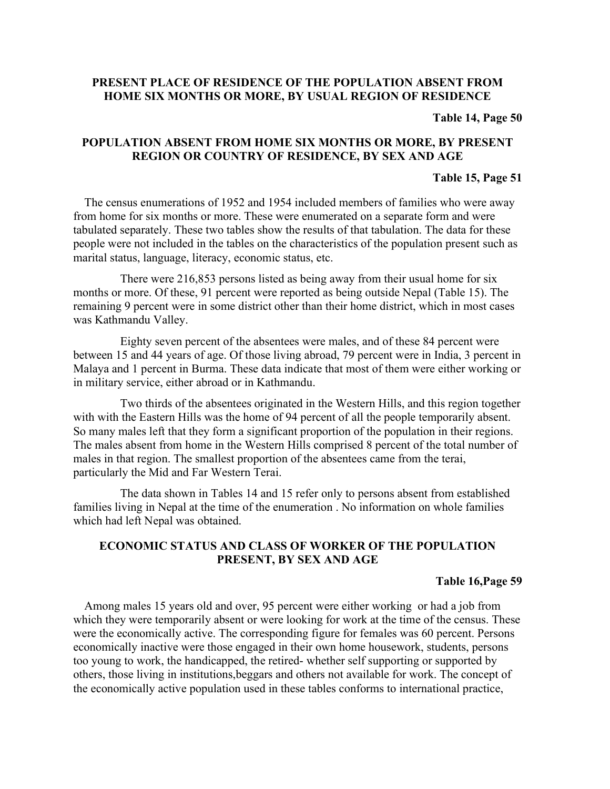# PRESENT PLACE OF RESIDENCE OF THE POPULATION ABSENT FROM HOME SIX MONTHS OR MORE, BY USUAL REGION OF RESIDENCE

#### Table 14, Page 50

## POPULATION ABSENT FROM HOME SIX MONTHS OR MORE, BY PRESENT REGION OR COUNTRY OF RESIDENCE, BY SEX AND AGE

#### Table 15, Page 51

The census enumerations of 1952 and 1954 included members of families who were away from home for six months or more. These were enumerated on a separate form and were tabulated separately. These two tables show the results of that tabulation. The data for these people were not included in the tables on the characteristics of the population present such as marital status, language, literacy, economic status, etc.

 There were 216,853 persons listed as being away from their usual home for six months or more. Of these, 91 percent were reported as being outside Nepal (Table 15). The remaining 9 percent were in some district other than their home district, which in most cases was Kathmandu Valley.

 Eighty seven percent of the absentees were males, and of these 84 percent were between 15 and 44 years of age. Of those living abroad, 79 percent were in India, 3 percent in Malaya and 1 percent in Burma. These data indicate that most of them were either working or in military service, either abroad or in Kathmandu.

 Two thirds of the absentees originated in the Western Hills, and this region together with with the Eastern Hills was the home of 94 percent of all the people temporarily absent. So many males left that they form a significant proportion of the population in their regions. The males absent from home in the Western Hills comprised 8 percent of the total number of males in that region. The smallest proportion of the absentees came from the terai, particularly the Mid and Far Western Terai.

 The data shown in Tables 14 and 15 refer only to persons absent from established families living in Nepal at the time of the enumeration . No information on whole families which had left Nepal was obtained.

### ECONOMIC STATUS AND CLASS OF WORKER OF THE POPULATION PRESENT, BY SEX AND AGE

#### Table 16,Page 59

Among males 15 years old and over, 95 percent were either working or had a job from which they were temporarily absent or were looking for work at the time of the census. These were the economically active. The corresponding figure for females was 60 percent. Persons economically inactive were those engaged in their own home housework, students, persons too young to work, the handicapped, the retired- whether self supporting or supported by others, those living in institutions,beggars and others not available for work. The concept of the economically active population used in these tables conforms to international practice,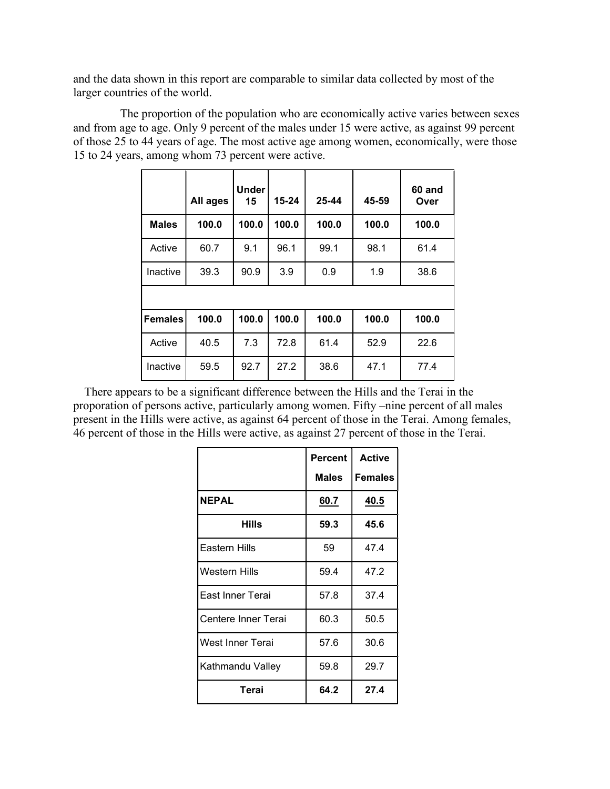and the data shown in this report are comparable to similar data collected by most of the larger countries of the world.

 The proportion of the population who are economically active varies between sexes and from age to age. Only 9 percent of the males under 15 were active, as against 99 percent of those 25 to 44 years of age. The most active age among women, economically, were those 15 to 24 years, among whom 73 percent were active.

|                | All ages | <b>Under</b><br>15 | $15 - 24$ | 25-44 | 45-59 | 60 and<br>Over |
|----------------|----------|--------------------|-----------|-------|-------|----------------|
| <b>Males</b>   | 100.0    | 100.0              | 100.0     | 100.0 | 100.0 | 100.0          |
| Active         | 60.7     | 9.1                | 96.1      | 99.1  | 98.1  | 61.4           |
| Inactive       | 39.3     | 90.9               | 3.9       | 0.9   | 1.9   | 38.6           |
|                |          |                    |           |       |       |                |
| <b>Females</b> | 100.0    | 100.0              | 100.0     | 100.0 | 100.0 | 100.0          |
| Active         | 40.5     | 7.3                | 72.8      | 61.4  | 52.9  | 22.6           |
| Inactive       | 59.5     | 92.7               | 27.2      | 38.6  | 47.1  | 77.4           |

There appears to be a significant difference between the Hills and the Terai in the proporation of persons active, particularly among women. Fifty –nine percent of all males present in the Hills were active, as against 64 percent of those in the Terai. Among females, 46 percent of those in the Hills were active, as against 27 percent of those in the Terai.

|                         | <b>Percent</b><br><b>Males</b> | <b>Active</b><br><b>Females</b> |
|-------------------------|--------------------------------|---------------------------------|
| <b>NEPAL</b>            | 60.7                           | 40.5                            |
| Hills                   | 59.3                           | 45.6                            |
| Eastern Hills           | 59                             | 47.4                            |
| <b>Western Hills</b>    | 59.4                           | 47.2                            |
| East Inner Terai        | 57.8                           | 37.4                            |
| Centere Inner Terai     | 60.3                           | 50.5                            |
| <b>West Inner Terai</b> | 57.6                           | 30.6                            |
| Kathmandu Valley        | 59.8                           | 29.7                            |
| Terai                   | 64.2                           | 27.4                            |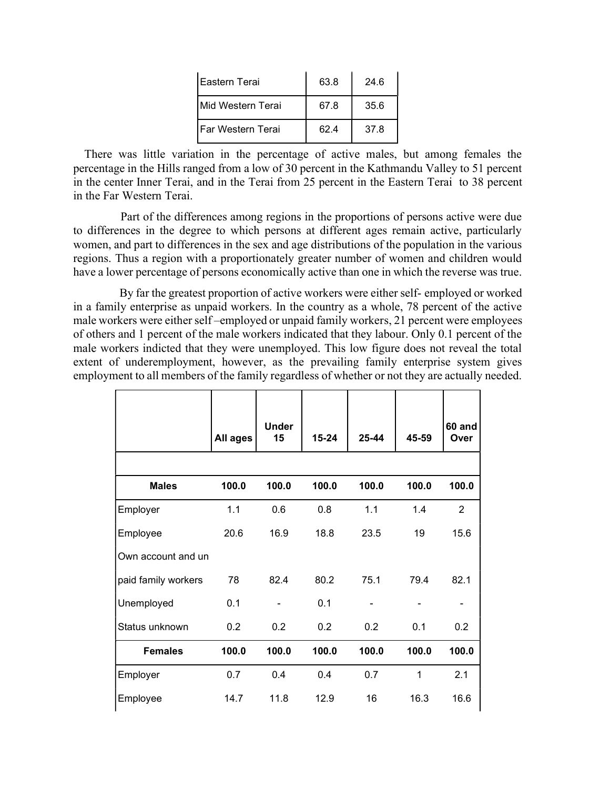| l Eastern Terai    | 63.8 | 24.6 |
|--------------------|------|------|
| IMid Western Terai | 67.8 | 35.6 |
| IFar Western Terai | 62.4 | 37.8 |

There was little variation in the percentage of active males, but among females the percentage in the Hills ranged from a low of 30 percent in the Kathmandu Valley to 51 percent in the center Inner Terai, and in the Terai from 25 percent in the Eastern Terai to 38 percent in the Far Western Terai.

 Part of the differences among regions in the proportions of persons active were due to differences in the degree to which persons at different ages remain active, particularly women, and part to differences in the sex and age distributions of the population in the various regions. Thus a region with a proportionately greater number of women and children would have a lower percentage of persons economically active than one in which the reverse was true.

 By far the greatest proportion of active workers were either self- employed or worked in a family enterprise as unpaid workers. In the country as a whole, 78 percent of the active male workers were either self –employed or unpaid family workers, 21 percent were employees of others and 1 percent of the male workers indicated that they labour. Only 0.1 percent of the male workers indicted that they were unemployed. This low figure does not reveal the total extent of underemployment, however, as the prevailing family enterprise system gives employment to all members of the family regardless of whether or not they are actually needed.

|                     | All ages | <b>Under</b><br>15 | $15 - 24$ | 25-44 | 45-59 | 60 and<br>Over |
|---------------------|----------|--------------------|-----------|-------|-------|----------------|
|                     |          |                    |           |       |       |                |
| <b>Males</b>        | 100.0    | 100.0              | 100.0     | 100.0 | 100.0 | 100.0          |
| Employer            | 1.1      | 0.6                | 0.8       | 1.1   | 1.4   | $\overline{2}$ |
| Employee            | 20.6     | 16.9               | 18.8      | 23.5  | 19    | 15.6           |
| Own account and un  |          |                    |           |       |       |                |
| paid family workers | 78       | 82.4               | 80.2      | 75.1  | 79.4  | 82.1           |
| Unemployed          | 0.1      |                    | 0.1       |       |       |                |
| Status unknown      | 0.2      | 0.2                | 0.2       | 0.2   | 0.1   | 0.2            |
| <b>Females</b>      | 100.0    | 100.0              | 100.0     | 100.0 | 100.0 | 100.0          |
| Employer            | 0.7      | 0.4                | 0.4       | 0.7   | 1     | 2.1            |
| Employee            | 14.7     | 11.8               | 12.9      | 16    | 16.3  | 16.6           |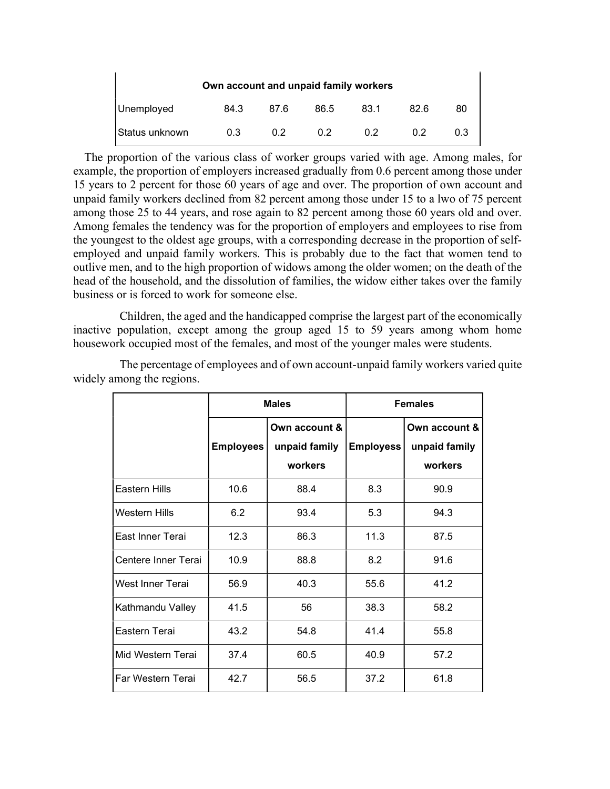| Own account and unpaid family workers |      |      |      |      |      |     |  |
|---------------------------------------|------|------|------|------|------|-----|--|
| Unemployed                            | 84.3 | 87.6 | 86.5 | 83.1 | 82.6 | 80  |  |
| IStatus unknown                       | 0.3  | 0 2  | 0 2  | 0 2  | 0 2  | 0.3 |  |

The proportion of the various class of worker groups varied with age. Among males, for example, the proportion of employers increased gradually from 0.6 percent among those under 15 years to 2 percent for those 60 years of age and over. The proportion of own account and unpaid family workers declined from 82 percent among those under 15 to a lwo of 75 percent among those 25 to 44 years, and rose again to 82 percent among those 60 years old and over. Among females the tendency was for the proportion of employers and employees to rise from the youngest to the oldest age groups, with a corresponding decrease in the proportion of selfemployed and unpaid family workers. This is probably due to the fact that women tend to outlive men, and to the high proportion of widows among the older women; on the death of the head of the household, and the dissolution of families, the widow either takes over the family business or is forced to work for someone else.

 Children, the aged and the handicapped comprise the largest part of the economically inactive population, except among the group aged 15 to 59 years among whom home housework occupied most of the females, and most of the younger males were students.

|                      | <b>Males</b>     |                                           | <b>Females</b>   |                                           |
|----------------------|------------------|-------------------------------------------|------------------|-------------------------------------------|
|                      | <b>Employees</b> | Own account &<br>unpaid family<br>workers | <b>Employess</b> | Own account &<br>unpaid family<br>workers |
| <b>Eastern Hills</b> | 10.6             | 88.4                                      | 8.3              | 90.9                                      |
| <b>Western Hills</b> | 6.2              | 93.4                                      | 5.3              | 94.3                                      |
| East Inner Terai     | 12.3             | 86.3                                      | 11.3             | 87.5                                      |
| Centere Inner Terai  | 10.9             | 88.8                                      | 8.2              | 91.6                                      |
| West Inner Terai     | 56.9             | 40.3                                      | 55.6             | 41.2                                      |
| Kathmandu Valley     | 41.5             | 56                                        | 38.3             | 58.2                                      |
| Eastern Terai        | 43.2             | 54.8                                      | 41.4             | 55.8                                      |
| Mid Western Terai    | 37.4             | 60.5                                      | 40.9             | 57.2                                      |
| Far Western Terai    | 42.7             | 56.5                                      | 37.2             | 61.8                                      |

 The percentage of employees and of own account-unpaid family workers varied quite widely among the regions.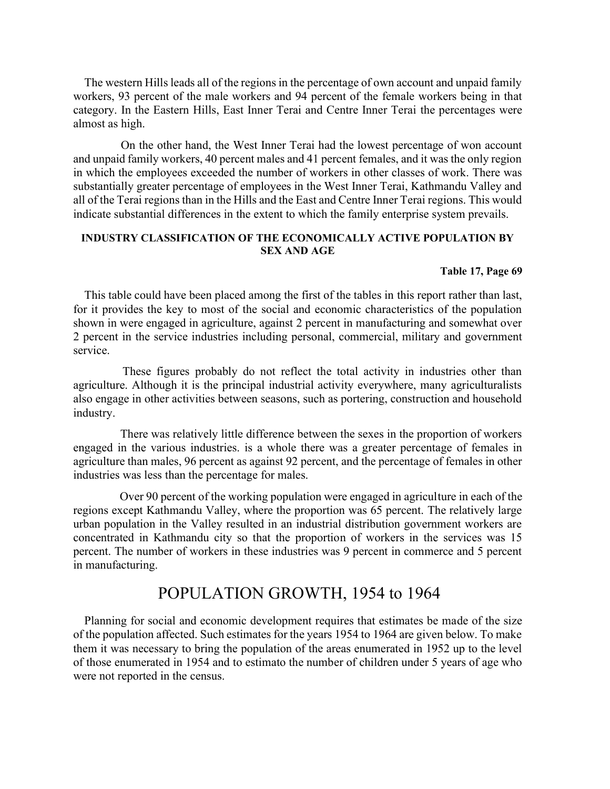The western Hills leads all of the regions in the percentage of own account and unpaid family workers, 93 percent of the male workers and 94 percent of the female workers being in that category. In the Eastern Hills, East Inner Terai and Centre Inner Terai the percentages were almost as high.

 On the other hand, the West Inner Terai had the lowest percentage of won account and unpaid family workers, 40 percent males and 41 percent females, and it was the only region in which the employees exceeded the number of workers in other classes of work. There was substantially greater percentage of employees in the West Inner Terai, Kathmandu Valley and all of the Terai regions than in the Hills and the East and Centre Inner Terai regions. This would indicate substantial differences in the extent to which the family enterprise system prevails.

#### INDUSTRY CLASSIFICATION OF THE ECONOMICALLY ACTIVE POPULATION BY SEX AND AGE

#### Table 17, Page 69

This table could have been placed among the first of the tables in this report rather than last, for it provides the key to most of the social and economic characteristics of the population shown in were engaged in agriculture, against 2 percent in manufacturing and somewhat over 2 percent in the service industries including personal, commercial, military and government service.

 These figures probably do not reflect the total activity in industries other than agriculture. Although it is the principal industrial activity everywhere, many agriculturalists also engage in other activities between seasons, such as portering, construction and household industry.

 There was relatively little difference between the sexes in the proportion of workers engaged in the various industries. is a whole there was a greater percentage of females in agriculture than males, 96 percent as against 92 percent, and the percentage of females in other industries was less than the percentage for males.

 Over 90 percent of the working population were engaged in agriculture in each of the regions except Kathmandu Valley, where the proportion was 65 percent. The relatively large urban population in the Valley resulted in an industrial distribution government workers are concentrated in Kathmandu city so that the proportion of workers in the services was 15 percent. The number of workers in these industries was 9 percent in commerce and 5 percent in manufacturing.

# POPULATION GROWTH, 1954 to 1964

Planning for social and economic development requires that estimates be made of the size of the population affected. Such estimates for the years 1954 to 1964 are given below. To make them it was necessary to bring the population of the areas enumerated in 1952 up to the level of those enumerated in 1954 and to estimato the number of children under 5 years of age who were not reported in the census.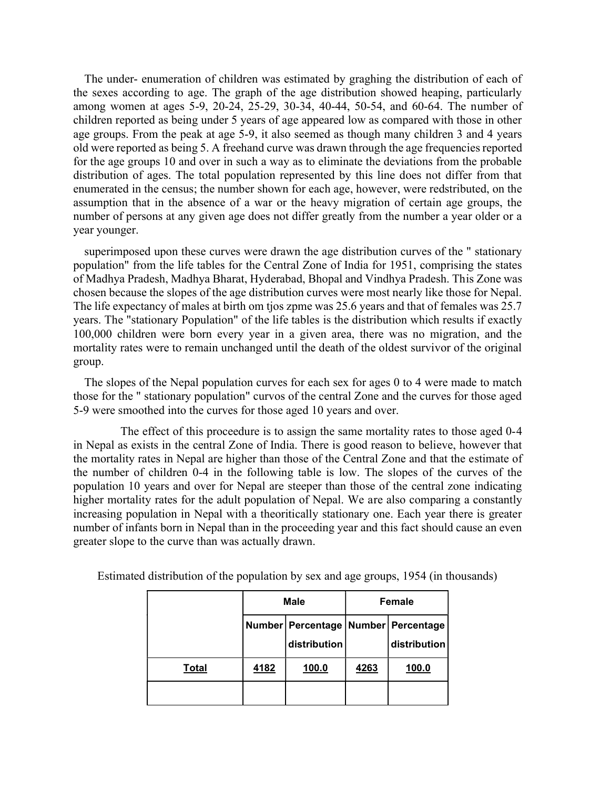The under- enumeration of children was estimated by graghing the distribution of each of the sexes according to age. The graph of the age distribution showed heaping, particularly among women at ages 5-9, 20-24, 25-29, 30-34, 40-44, 50-54, and 60-64. The number of children reported as being under 5 years of age appeared low as compared with those in other age groups. From the peak at age 5-9, it also seemed as though many children 3 and 4 years old were reported as being 5. A freehand curve was drawn through the age frequencies reported for the age groups 10 and over in such a way as to eliminate the deviations from the probable distribution of ages. The total population represented by this line does not differ from that enumerated in the census; the number shown for each age, however, were redstributed, on the assumption that in the absence of a war or the heavy migration of certain age groups, the number of persons at any given age does not differ greatly from the number a year older or a year younger.

superimposed upon these curves were drawn the age distribution curves of the " stationary population" from the life tables for the Central Zone of India for 1951, comprising the states of Madhya Pradesh, Madhya Bharat, Hyderabad, Bhopal and Vindhya Pradesh. This Zone was chosen because the slopes of the age distribution curves were most nearly like those for Nepal. The life expectancy of males at birth om tjos zpme was 25.6 years and that of females was 25.7 years. The "stationary Population" of the life tables is the distribution which results if exactly 100,000 children were born every year in a given area, there was no migration, and the mortality rates were to remain unchanged until the death of the oldest survivor of the original group.

The slopes of the Nepal population curves for each sex for ages 0 to 4 were made to match those for the " stationary population" curvos of the central Zone and the curves for those aged 5-9 were smoothed into the curves for those aged 10 years and over.

 The effect of this proceedure is to assign the same mortality rates to those aged 0-4 in Nepal as exists in the central Zone of India. There is good reason to believe, however that the mortality rates in Nepal are higher than those of the Central Zone and that the estimate of the number of children 0-4 in the following table is low. The slopes of the curves of the population 10 years and over for Nepal are steeper than those of the central zone indicating higher mortality rates for the adult population of Nepal. We are also comparing a constantly increasing population in Nepal with a theoritically stationary one. Each year there is greater number of infants born in Nepal than in the proceeding year and this fact should cause an even greater slope to the curve than was actually drawn.

|              | <b>Male</b> |                                                           |      | <b>Female</b> |
|--------------|-------------|-----------------------------------------------------------|------|---------------|
|              |             | Number   Percentage   Number   Percentage<br>distribution |      | distribution  |
| <b>Total</b> | 4182        | 100.0                                                     | 4263 | 100.0         |
|              |             |                                                           |      |               |

Estimated distribution of the population by sex and age groups, 1954 (in thousands)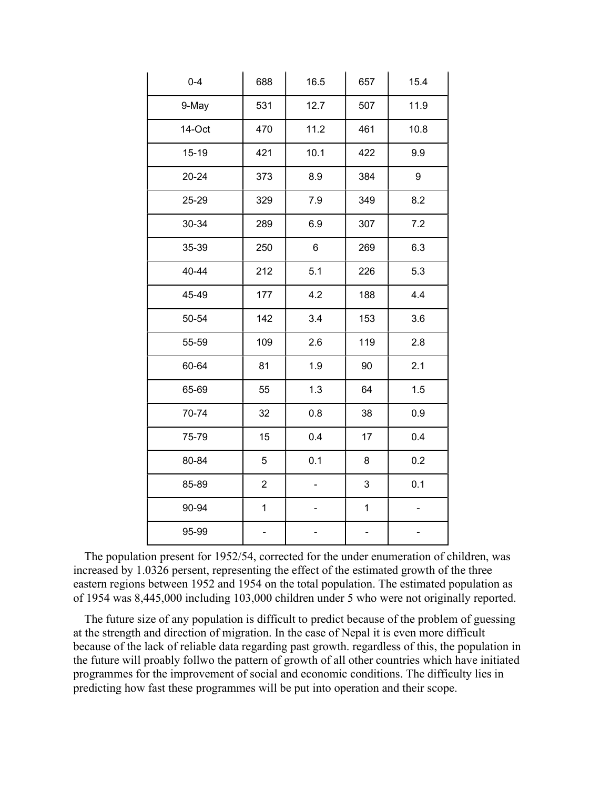| $0 - 4$ | 688            | 16.5 | 657         | 15.4 |
|---------|----------------|------|-------------|------|
| 9-May   | 531            | 12.7 | 507         | 11.9 |
| 14-Oct  | 470            | 11.2 | 461         | 10.8 |
| 15-19   | 421            | 10.1 | 422         | 9.9  |
| 20-24   | 373            | 8.9  | 384         | 9    |
| 25-29   | 329            | 7.9  | 349         | 8.2  |
| 30-34   | 289            | 6.9  | 307         | 7.2  |
| 35-39   | 250            | 6    | 269         | 6.3  |
| 40-44   | 212            | 5.1  | 226         | 5.3  |
| 45-49   | 177            | 4.2  | 188         | 4.4  |
| 50-54   | 142            | 3.4  | 153         | 3.6  |
| 55-59   | 109            | 2.6  | 119         | 2.8  |
| 60-64   | 81             | 1.9  | 90          | 2.1  |
| 65-69   | 55             | 1.3  | 64          | 1.5  |
| 70-74   | 32             | 0.8  | 38          | 0.9  |
| 75-79   | 15             | 0.4  | 17          | 0.4  |
| 80-84   | 5              | 0.1  | 8           | 0.2  |
| 85-89   | $\overline{c}$ |      | 3           | 0.1  |
| 90-94   | $\mathbf{1}$   |      | $\mathbf 1$ |      |
| 95-99   |                |      |             |      |

The population present for 1952/54, corrected for the under enumeration of children, was increased by 1.0326 persent, representing the effect of the estimated growth of the three eastern regions between 1952 and 1954 on the total population. The estimated population as of 1954 was 8,445,000 including 103,000 children under 5 who were not originally reported.

The future size of any population is difficult to predict because of the problem of guessing at the strength and direction of migration. In the case of Nepal it is even more difficult because of the lack of reliable data regarding past growth. regardless of this, the population in the future will proably follwo the pattern of growth of all other countries which have initiated programmes for the improvement of social and economic conditions. The difficulty lies in predicting how fast these programmes will be put into operation and their scope.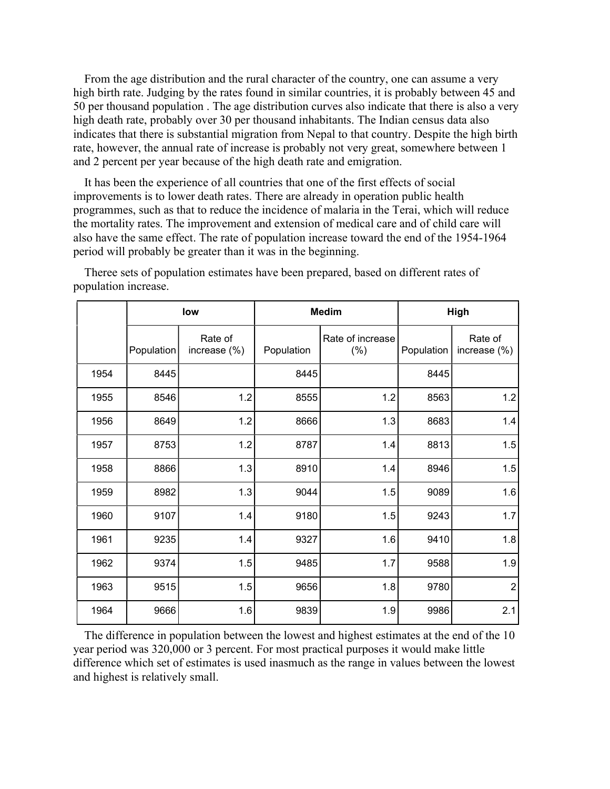From the age distribution and the rural character of the country, one can assume a very high birth rate. Judging by the rates found in similar countries, it is probably between 45 and 50 per thousand population . The age distribution curves also indicate that there is also a very high death rate, probably over 30 per thousand inhabitants. The Indian census data also indicates that there is substantial migration from Nepal to that country. Despite the high birth rate, however, the annual rate of increase is probably not very great, somewhere between 1 and 2 percent per year because of the high death rate and emigration.

It has been the experience of all countries that one of the first effects of social improvements is to lower death rates. There are already in operation public health programmes, such as that to reduce the incidence of malaria in the Terai, which will reduce the mortality rates. The improvement and extension of medical care and of child care will also have the same effect. The rate of population increase toward the end of the 1954-1964 period will probably be greater than it was in the beginning.

|      | low        |                            | <b>Medim</b> |                            | High       |                         |
|------|------------|----------------------------|--------------|----------------------------|------------|-------------------------|
|      | Population | Rate of<br>increase $(\%)$ | Population   | Rate of increase<br>$(\%)$ | Population | Rate of<br>increase (%) |
| 1954 | 8445       |                            | 8445         |                            | 8445       |                         |
| 1955 | 8546       | 1.2                        | 8555         | 1.2                        | 8563       | 1.2                     |
| 1956 | 8649       | 1.2                        | 8666         | 1.3                        | 8683       | 1.4                     |
| 1957 | 8753       | 1.2                        | 8787         | 1.4                        | 8813       | 1.5                     |
| 1958 | 8866       | 1.3                        | 8910         | 1.4                        | 8946       | 1.5                     |
| 1959 | 8982       | 1.3                        | 9044         | 1.5                        | 9089       | 1.6                     |
| 1960 | 9107       | 1.4                        | 9180         | 1.5                        | 9243       | 1.7                     |
| 1961 | 9235       | 1.4                        | 9327         | 1.6                        | 9410       | 1.8                     |
| 1962 | 9374       | 1.5                        | 9485         | 1.7                        | 9588       | 1.9                     |
| 1963 | 9515       | 1.5                        | 9656         | 1.8                        | 9780       | $\overline{2}$          |
| 1964 | 9666       | 1.6                        | 9839         | 1.9                        | 9986       | 2.1                     |

Theree sets of population estimates have been prepared, based on different rates of population increase.

The difference in population between the lowest and highest estimates at the end of the 10 year period was 320,000 or 3 percent. For most practical purposes it would make little difference which set of estimates is used inasmuch as the range in values between the lowest and highest is relatively small.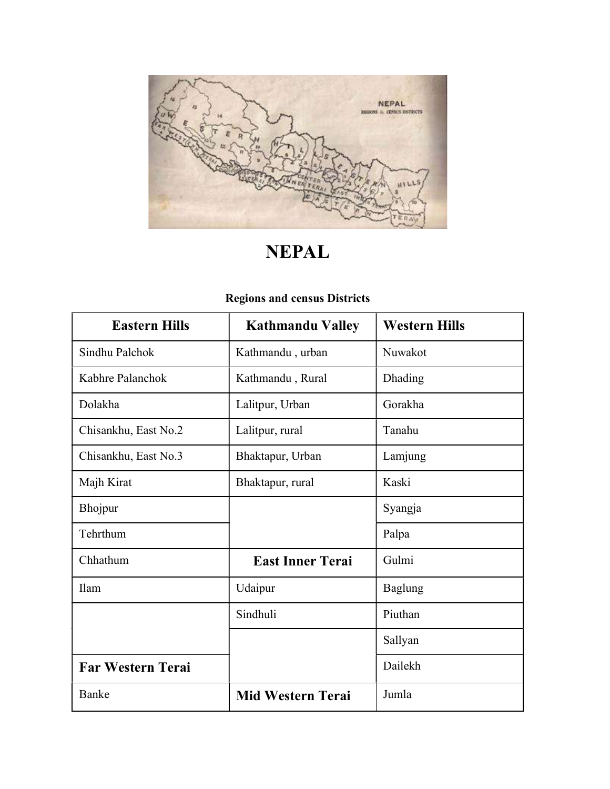

# NEPAL

| <b>Eastern Hills</b>     | <b>Kathmandu Valley</b>  | <b>Western Hills</b> |
|--------------------------|--------------------------|----------------------|
| Sindhu Palchok           | Kathmandu, urban         | Nuwakot              |
| Kabhre Palanchok         | Kathmandu, Rural         | Dhading              |
| Dolakha                  | Lalitpur, Urban          | Gorakha              |
| Chisankhu, East No.2     | Lalitpur, rural          | Tanahu               |
| Chisankhu, East No.3     | Bhaktapur, Urban         | Lamjung              |
| Majh Kirat               | Bhaktapur, rural         | Kaski                |
| Bhojpur                  |                          | Syangja              |
| Tehrthum                 |                          | Palpa                |
| Chhathum                 | <b>East Inner Terai</b>  | Gulmi                |
| Ilam                     | Udaipur                  | Baglung              |
|                          | Sindhuli                 | Piuthan              |
|                          |                          | Sallyan              |
| <b>Far Western Terai</b> |                          | Dailekh              |
| Banke                    | <b>Mid Western Terai</b> | Jumla                |

# Regions and census Districts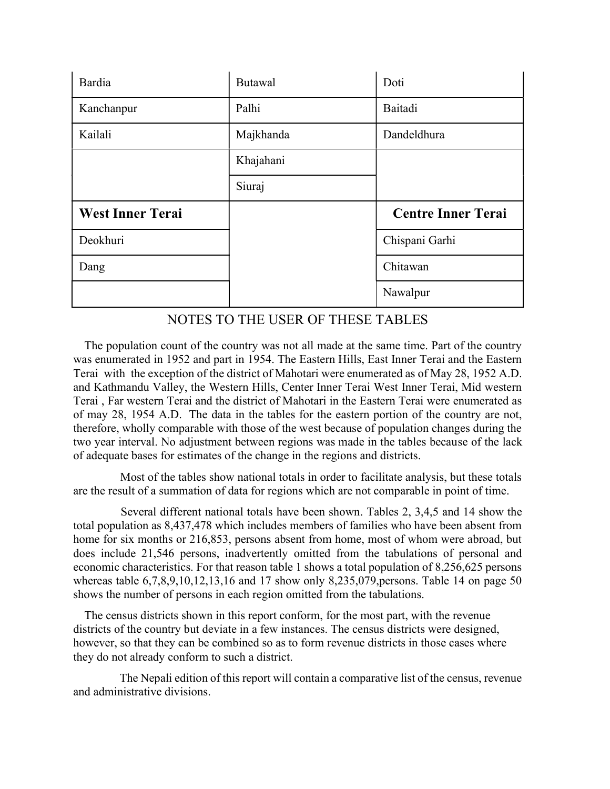| Bardia                  | <b>Butawal</b> | Doti                      |  |
|-------------------------|----------------|---------------------------|--|
| Kanchanpur              | Palhi          | Baitadi                   |  |
| Kailali                 | Majkhanda      | Dandeldhura               |  |
|                         | Khajahani      |                           |  |
|                         | Siuraj         |                           |  |
|                         |                |                           |  |
| <b>West Inner Terai</b> |                | <b>Centre Inner Terai</b> |  |
| Deokhuri                |                | Chispani Garhi            |  |
| Dang                    |                | Chitawan                  |  |

# NOTES TO THE USER OF THESE TABLES

The population count of the country was not all made at the same time. Part of the country was enumerated in 1952 and part in 1954. The Eastern Hills, East Inner Terai and the Eastern Terai with the exception of the district of Mahotari were enumerated as of May 28, 1952 A.D. and Kathmandu Valley, the Western Hills, Center Inner Terai West Inner Terai, Mid western Terai , Far western Terai and the district of Mahotari in the Eastern Terai were enumerated as of may 28, 1954 A.D. The data in the tables for the eastern portion of the country are not, therefore, wholly comparable with those of the west because of population changes during the two year interval. No adjustment between regions was made in the tables because of the lack of adequate bases for estimates of the change in the regions and districts.

 Most of the tables show national totals in order to facilitate analysis, but these totals are the result of a summation of data for regions which are not comparable in point of time.

 Several different national totals have been shown. Tables 2, 3,4,5 and 14 show the total population as 8,437,478 which includes members of families who have been absent from home for six months or 216,853, persons absent from home, most of whom were abroad, but does include 21,546 persons, inadvertently omitted from the tabulations of personal and economic characteristics. For that reason table 1 shows a total population of 8,256,625 persons whereas table 6,7,8,9,10,12,13,16 and 17 show only 8,235,079,persons. Table 14 on page 50 shows the number of persons in each region omitted from the tabulations.

The census districts shown in this report conform, for the most part, with the revenue districts of the country but deviate in a few instances. The census districts were designed, however, so that they can be combined so as to form revenue districts in those cases where they do not already conform to such a district.

 The Nepali edition of this report will contain a comparative list of the census, revenue and administrative divisions.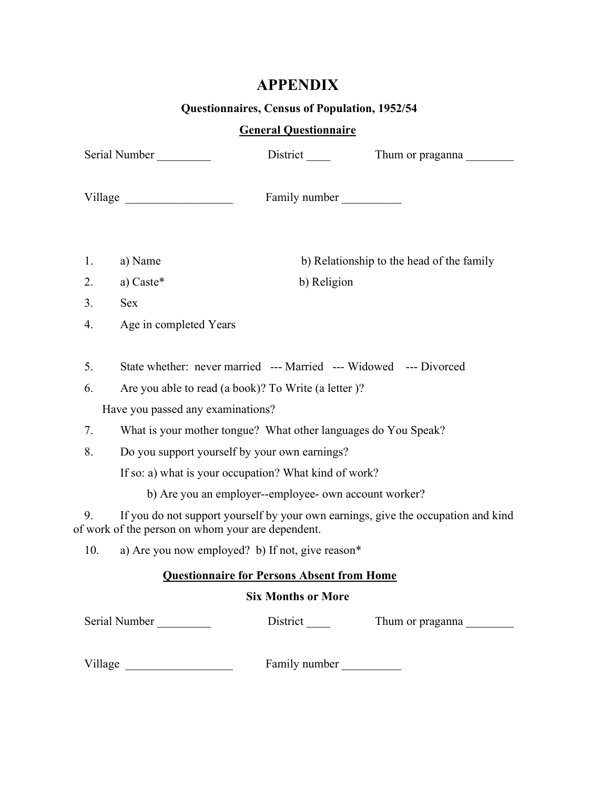# APPENDIX

# Questionnaires, Census of Population, 1952/54

# General Questionnaire

|          | Serial Number                                                                                                            |                                                   | Thum or praganna                                                                  |
|----------|--------------------------------------------------------------------------------------------------------------------------|---------------------------------------------------|-----------------------------------------------------------------------------------|
|          | Village                                                                                                                  | Family number                                     |                                                                                   |
| 1.       | a) Name                                                                                                                  |                                                   | b) Relationship to the head of the family                                         |
| 2.       | a) Caste*                                                                                                                | b) Religion                                       |                                                                                   |
| 3.       | <b>Sex</b>                                                                                                               |                                                   |                                                                                   |
| 4.       | Age in completed Years                                                                                                   |                                                   |                                                                                   |
| 5.<br>6. | State whether: never married --- Married --- Widowed --- Divorced<br>Are you able to read (a book)? To Write (a letter)? |                                                   |                                                                                   |
| 7.       | Have you passed any examinations?<br>What is your mother tongue? What other languages do You Speak?                      |                                                   |                                                                                   |
| 8.       | Do you support yourself by your own earnings?                                                                            |                                                   |                                                                                   |
|          | If so: a) what is your occupation? What kind of work?                                                                    |                                                   |                                                                                   |
|          | b) Are you an employer--employee- own account worker?                                                                    |                                                   |                                                                                   |
| 9.       | of work of the person on whom your are dependent.                                                                        |                                                   | If you do not support yourself by your own earnings, give the occupation and kind |
| 10.      | a) Are you now employed? b) If not, give reason*                                                                         |                                                   |                                                                                   |
|          |                                                                                                                          | <b>Questionnaire for Persons Absent from Home</b> |                                                                                   |
|          |                                                                                                                          | <b>Six Months or More</b>                         |                                                                                   |
|          | Serial Number                                                                                                            | District_                                         | Thum or praganna                                                                  |
| Village  |                                                                                                                          | Family number                                     |                                                                                   |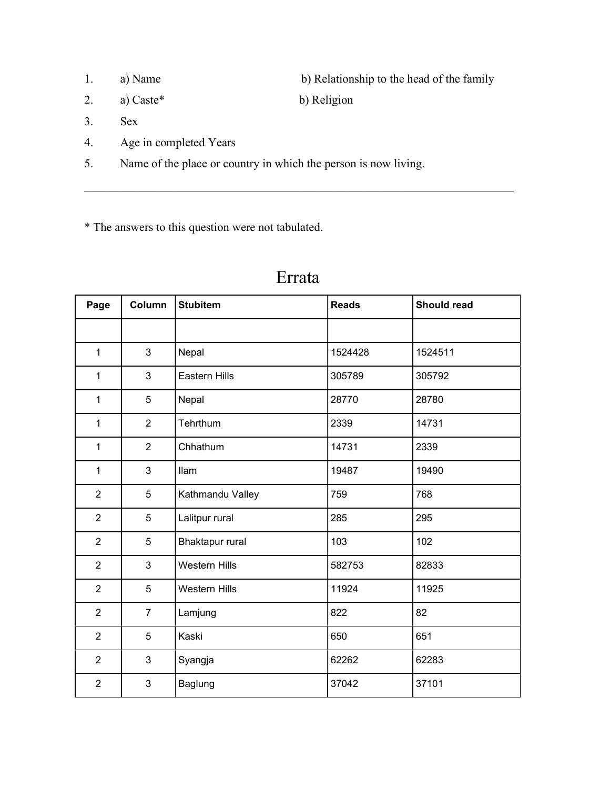- 1. a) Name b) Relationship to the head of the family
- 2. a) Caste<sup>\*</sup> b) Religion
- 3. Sex
- 4. Age in completed Years
- 5. Name of the place or country in which the person is now living.

\* The answers to this question were not tabulated.

| Page           | <b>Column</b>  | <b>Stubitem</b>        | <b>Reads</b> | Should read |
|----------------|----------------|------------------------|--------------|-------------|
|                |                |                        |              |             |
| $\mathbf{1}$   | 3              | Nepal                  | 1524428      | 1524511     |
| $\mathbf{1}$   | 3              | <b>Eastern Hills</b>   | 305789       | 305792      |
| $\mathbf{1}$   | 5              | Nepal                  | 28770        | 28780       |
| $\mathbf{1}$   | $\overline{2}$ | Tehrthum               | 2339         | 14731       |
| $\mathbf{1}$   | $\overline{2}$ | Chhathum               | 14731        | 2339        |
| $\mathbf{1}$   | 3              | llam                   | 19487        | 19490       |
| $\overline{2}$ | 5              | Kathmandu Valley       | 759          | 768         |
| $\overline{2}$ | 5              | Lalitpur rural         | 285          | 295         |
| $\overline{2}$ | 5              | <b>Bhaktapur rural</b> | 103          | 102         |
| $\overline{2}$ | 3              | <b>Western Hills</b>   | 582753       | 82833       |
| $\overline{2}$ | 5              | <b>Western Hills</b>   | 11924        | 11925       |
| $\overline{2}$ | $\overline{7}$ | Lamjung                | 822          | 82          |
| $\overline{2}$ | 5              | Kaski                  | 650          | 651         |
| $\overline{2}$ | 3              | Syangja                | 62262        | 62283       |
| $\overline{2}$ | 3              | Baglung                | 37042        | 37101       |

# Errata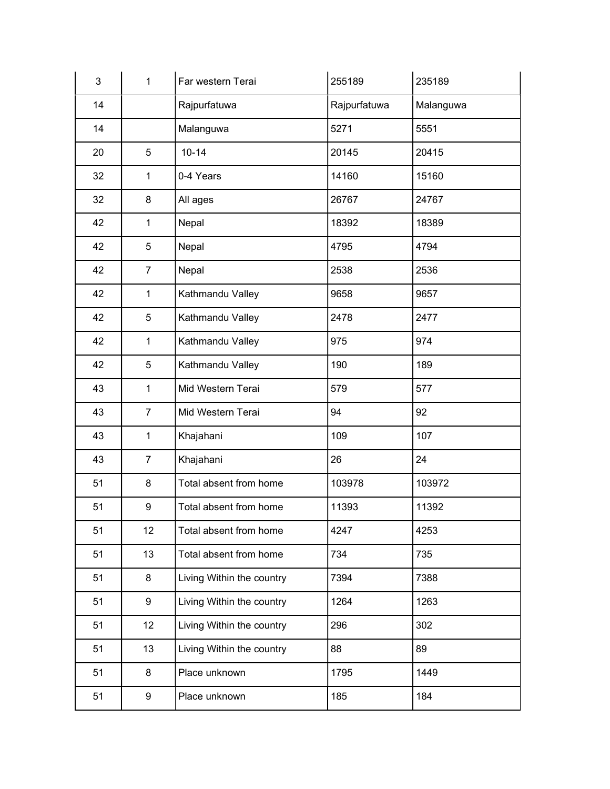| 3  | 1                | Far western Terai         | 255189       | 235189    |
|----|------------------|---------------------------|--------------|-----------|
| 14 |                  | Rajpurfatuwa              | Rajpurfatuwa | Malanguwa |
| 14 |                  | Malanguwa                 | 5271         | 5551      |
| 20 | 5                | $10 - 14$                 | 20145        | 20415     |
| 32 | 1                | 0-4 Years                 | 14160        | 15160     |
| 32 | 8                | All ages                  | 26767        | 24767     |
| 42 | 1                | Nepal                     | 18392        | 18389     |
| 42 | 5                | Nepal                     | 4795         | 4794      |
| 42 | $\overline{7}$   | Nepal                     | 2538         | 2536      |
| 42 | $\mathbf{1}$     | Kathmandu Valley          | 9658         | 9657      |
| 42 | 5                | Kathmandu Valley          | 2478         | 2477      |
| 42 | 1                | Kathmandu Valley          | 975          | 974       |
| 42 | 5                | Kathmandu Valley          | 190          | 189       |
| 43 | 1                | Mid Western Terai         | 579          | 577       |
| 43 | $\overline{7}$   | Mid Western Terai         | 94           | 92        |
| 43 | 1                | Khajahani                 | 109          | 107       |
| 43 | $\overline{7}$   | Khajahani                 | 26           | 24        |
| 51 | 8                | Total absent from home    | 103978       | 103972    |
| 51 | $\boldsymbol{9}$ | Total absent from home    | 11393        | 11392     |
| 51 | 12               | Total absent from home    | 4247         | 4253      |
| 51 | 13               | Total absent from home    | 734          | 735       |
| 51 | 8                | Living Within the country | 7394         | 7388      |
| 51 | 9                | Living Within the country | 1264         | 1263      |
| 51 | 12               | Living Within the country | 296          | 302       |
| 51 | 13               | Living Within the country | 88           | 89        |
| 51 | 8                | Place unknown             | 1795         | 1449      |
| 51 | 9                | Place unknown             | 185          | 184       |